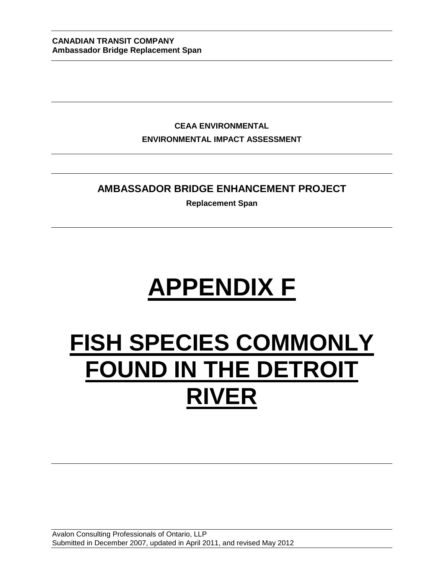**CEAA ENVIRONMENTAL ENVIRONMENTAL IMPACT ASSESSMENT**

# **AMBASSADOR BRIDGE ENHANCEMENT PROJECT**

**Replacement Span**

# **APPENDIX F**

# **FISH SPECIES COMMONLY FOUND IN THE DETROIT RIVER**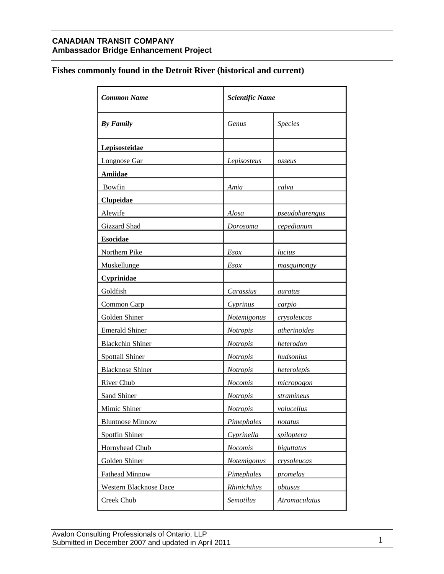# **Fishes commonly found in the Detroit River (historical and current)**

| <b>Common Name</b>      | <b>Scientific Name</b> |                       |
|-------------------------|------------------------|-----------------------|
| <b>By Family</b>        | <b>Genus</b>           | <b>Species</b>        |
| Lepisosteidae           |                        |                       |
| <b>Longnose Gar</b>     | Lepisosteus            | osseus                |
| <b>Amiidae</b>          |                        |                       |
| Bowfin                  | Amia                   | calva                 |
| <b>Clupeidae</b>        |                        |                       |
| Alewife                 | Alosa                  | <u>pseudoharengus</u> |
| Gizzard Shad            | <u>Dorosoma</u>        | cepedianum            |
| <b>Esocidae</b>         |                        |                       |
| Northern Pike           | Esox                   | lucius                |
| Muskellunge             | <b>Esox</b>            | masquinongy           |
| <b>Cyprinidae</b>       |                        |                       |
| Goldfish                | Carassius              | auratus               |
| Common Carp             | Cyprinus               | carpio                |
| Golden Shiner           | <b>Notemigonus</b>     | crysoleucas           |
| <b>Emerald Shiner</b>   | <b>Notropis</b>        | atherinoides          |
| <b>Blackchin Shiner</b> | <b>Notropis</b>        | heterodon             |
| Spottail Shiner         | <b>Notropis</b>        | hudsonius             |
| <b>Blacknose Shiner</b> | <b>Notropis</b>        | heterolepis           |
| <b>River Chub</b>       | <b>Nocomis</b>         | micropogon            |
| Sand Shiner             | <b>Notropis</b>        | stramineus            |
| Mimic Shiner            | <i>Notropis</i>        | volucellus            |
| <b>Bluntnose Minnow</b> | Pimephales             | notatus               |
| Spotfin Shiner          | Cyprinella             | spiloptera            |
| Hornyhead Chub          | <b>Nocomis</b>         | biguttatus            |
| Golden Shiner           | <b>Notemigonus</b>     | crysoleucas           |
| <b>Fathead Minnow</b>   | Pimephales             | promelas              |
| Western Blacknose Dace  | Rhinichthys            | obtusus               |
| Creek Chub              | Semotilus              | <b>Atromaculatus</b>  |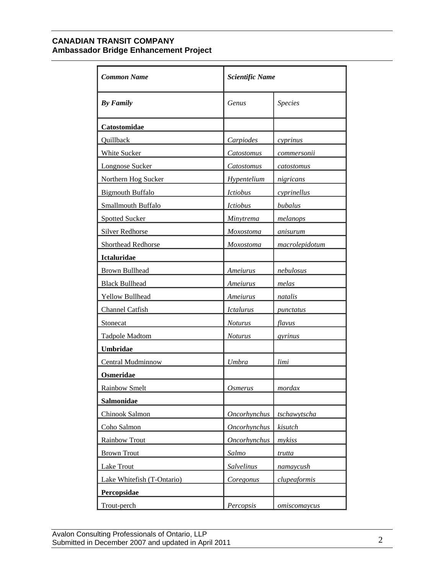| <b>Common Name</b>         | <b>Scientific Name</b>        |                |
|----------------------------|-------------------------------|----------------|
| <b>By Family</b>           | Genus                         | <b>Species</b> |
| Catostomidae               |                               |                |
| Quillback                  | Carpiodes                     | cyprinus       |
| <b>White Sucker</b>        | Catostomus                    | commersonii    |
| Longnose Sucker            | Catostomus                    | catostomus     |
| Northern Hog Sucker        | Hypentelium                   | nigricans      |
| <b>Bigmouth Buffalo</b>    | <i><u><b>Ictiobus</b></u></i> | cyprinellus    |
| Smallmouth Buffalo         | Ictiobus                      | bubalus        |
| <b>Spotted Sucker</b>      | Minytrema                     | melanops       |
| <b>Silver Redhorse</b>     | Moxostoma                     | anisurum       |
| Shorthead Redhorse         | Moxostoma                     | macrolepidotum |
| Ictaluridae                |                               |                |
| <b>Brown Bullhead</b>      | Ameiurus                      | nebulosus      |
| <b>Black Bullhead</b>      | Ameiurus                      | melas          |
| Yellow Bullhead            | Ameiurus                      | natalis        |
| Channel Catfish            | <b>Ictalurus</b>              | punctatus      |
| Stonecat                   | <b>Noturus</b>                | flavus         |
| <b>Tadpole Madtom</b>      | <b>Noturus</b>                | gyrinus        |
| Umbridae                   |                               |                |
| Central Mudminnow          | Umbra                         | limi           |
| Osmeridae                  |                               |                |
| <b>Rainbow Smelt</b>       | Osmerus                       | mordax         |
| Salmonidae                 |                               |                |
| Chinook Salmon             | Oncorhynchus                  | tschawytscha   |
| Coho Salmon                | <b>Oncorhynchus</b>           | kisutch        |
| Rainbow Trout              | Oncorhynchus                  | mykiss         |
| <b>Brown Trout</b>         | Salmo                         | trutta         |
| Lake Trout                 | Salvelinus                    | namaycush      |
| Lake Whitefish (T-Ontario) | Coregonus                     | clupeaformis   |
| Percopsidae                |                               |                |
| Trout-perch                | Percopsis                     | omiscomaycus   |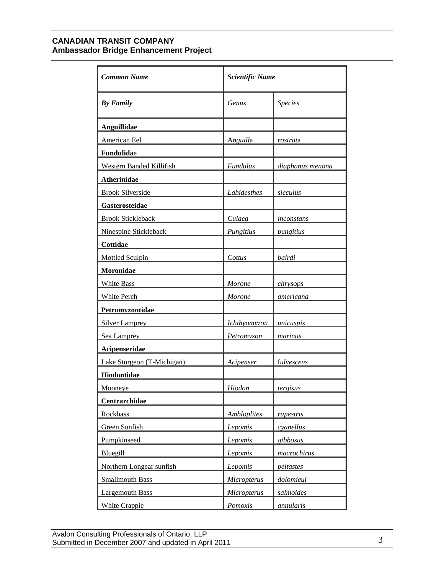| <b>Common Name</b>         | <b>Scientific Name</b> |                  |
|----------------------------|------------------------|------------------|
| <b>By Family</b>           | Genus                  | <b>Species</b>   |
| <b>Anguillidae</b>         |                        |                  |
| American Eel               | Anguilla               | rostrata         |
| Fundulidae                 |                        |                  |
| Western Banded Killifish   | <b>Fundulus</b>        | diaphanus menona |
| Atherinidae                |                        |                  |
| <b>Brook Silverside</b>    | Labidesthes            | sicculus         |
| Gasterosteidae             |                        |                  |
| <b>Brook Stickleback</b>   | Culaea                 | inconstans       |
| Ninespine Stickleback      | Pungitius              | pungitius        |
| Cottidae                   |                        |                  |
| <b>Mottled Sculpin</b>     | Cottus                 | bairdi           |
| Moronidae                  |                        |                  |
| White Bass                 | <b>Morone</b>          | chrysops         |
| White Perch                | <b>Morone</b>          | americana        |
| Petromyzontidae            |                        |                  |
| <b>Silver Lamprey</b>      | Ichthyomyzon           | unicuspis        |
| Sea Lamprey                | Petromyzon             | marinus          |
| Acipenseridae              |                        |                  |
| Lake Sturgeon (T-Michigan) | Acipenser              | fulvescens       |
| Hiodontidae                |                        |                  |
| <b>Mooneye</b>             | Hiodon                 | <i>tergisus</i>  |
| Centrarchidae              |                        |                  |
| Rockbass                   | <b>Ambloplites</b>     | rupestris        |
| Green Sunfish              | Lepomis                | cyanellus        |
| Pumpkinseed                | Lepomis                | gibbosus         |
| Bluegill                   | Lepomis                | macrochirus      |
| Northern Longear sunfish   | Lepomis                | peltastes        |
| <b>Smallmouth Bass</b>     | Micropterus            | dolomieui        |
| Largemouth Bass            | Micropterus            | salmoides        |
| <b>White Crappie</b>       | <i>Pomoxis</i>         | <i>annularis</i> |